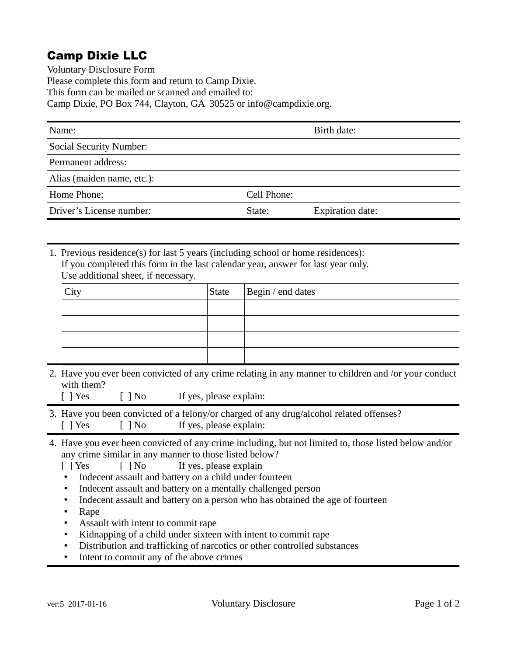## Camp Dixie LLC

Voluntary Disclosure Form Please complete this form and return to Camp Dixie. This form can be mailed or scanned and emailed to: Camp Dixie, PO Box 744, Clayton, GA 30525 or info@campdixie.org.

| Name:                          |             | Birth date:             |
|--------------------------------|-------------|-------------------------|
| <b>Social Security Number:</b> |             |                         |
| Permanent address:             |             |                         |
| Alias (maiden name, etc.):     |             |                         |
| Home Phone:                    | Cell Phone: |                         |
| Driver's License number:       | State:      | <b>Expiration date:</b> |

1. Previous residence(s) for last 5 years (including school or home residences): If you completed this form in the last calendar year, answer for last year only. Use additional sheet, if necessary.

| $\gamma$ ity | State   Begin / end dates |
|--------------|---------------------------|
|              |                           |
|              |                           |
|              |                           |
|              |                           |

2. Have you ever been convicted of any crime relating in any manner to children and /or your conduct with them?

| $[$ ] No<br>$[$ ] Yes<br>If yes, please explain: |  |
|--------------------------------------------------|--|
|--------------------------------------------------|--|

- 3. Have you been convicted of a felony/or charged of any drug/alcohol related offenses? [ ] Yes [ ] No If yes, please explain:
- 4. Have you ever been convicted of any crime including, but not limited to, those listed below and/or any crime similar in any manner to those listed below?

[ ] Yes [ ] No If yes, please explain

- Indecent assault and battery on a child under fourteen
- Indecent assault and battery on a mentally challenged person
- Indecent assault and battery on a person who has obtained the age of fourteen
- Rape
- Assault with intent to commit rape
- Kidnapping of a child under sixteen with intent to commit rape
- Distribution and trafficking of narcotics or other controlled substances
- Intent to commit any of the above crimes